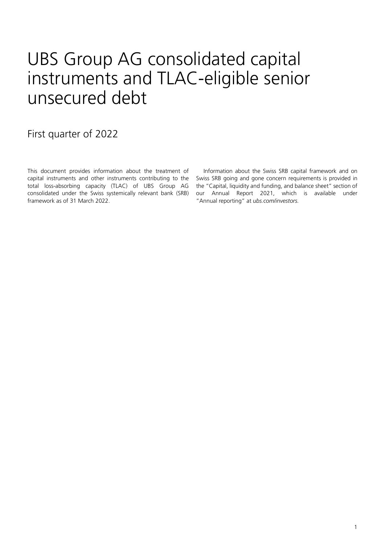## UBS Group AG consolidated capital instruments and TLAC-eligible senior unsecured debt

First quarter of 2022

This document provides information about the treatment of capital instruments and other instruments contributing to the total loss-absorbing capacity (TLAC) of UBS Group AG consolidated under the Swiss systemically relevant bank (SRB) framework as of 31 March 2022.

Information about the Swiss SRB capital framework and on Swiss SRB going and gone concern requirements is provided in the "Capital, liquidity and funding, and balance sheet" section of our Annual Report 2021, which is available under "Annual reporting" at *[ubs.com/investors.](http://www.ubs.com/investors)*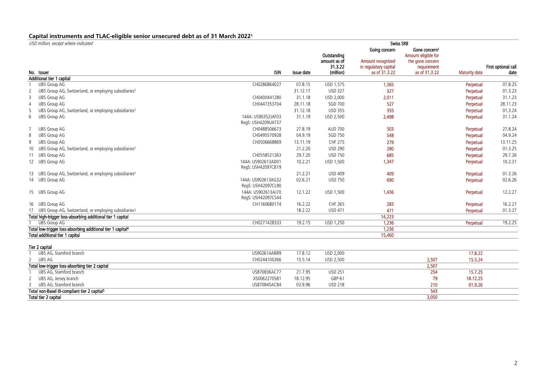## **Capital instruments and TLAC-eligible senior unsecured debt as of 31 March 20221**

| USD million, except where indicated                                                     |                                          | <b>Swiss SRB</b>     |                                        |                                                                  |                                                                                     |                             |                           |  |  |
|-----------------------------------------------------------------------------------------|------------------------------------------|----------------------|----------------------------------------|------------------------------------------------------------------|-------------------------------------------------------------------------------------|-----------------------------|---------------------------|--|--|
|                                                                                         |                                          |                      | Outstanding<br>amount as of<br>31.3.22 | Going concern<br>Amount recognized<br>in regulatory capital      | Gone concern <sup>2</sup><br>Amount eligible for<br>the gone concern<br>requirement |                             | First optional call       |  |  |
| No. Issuer                                                                              | <b>ISIN</b>                              | Issue date           | (million)                              | as of 31.3.22                                                    | as of 31.3.22                                                                       | <b>Maturity date</b>        | date                      |  |  |
| Additional tier 1 capital                                                               |                                          |                      |                                        |                                                                  |                                                                                     |                             |                           |  |  |
| <b>UBS Group AG</b>                                                                     | CH0286864027                             | 07.8.15              | USD 1,575                              | 1,565                                                            |                                                                                     | Perpetual                   | 07.8.25                   |  |  |
| $\frac{2}{\cdots}$<br>UBS Group AG, Switzerland, or employing subsidiaries <sup>3</sup> |                                          | 31.12.17             | <b>USD 327</b>                         | 327                                                              |                                                                                     | Perpetual                   | $\frac{01.3.23}{31.1.23}$ |  |  |
| <b>UBS Group AG</b><br>3                                                                | CH0400441280                             | 31.1.18              | USD 2,000                              | 2,011                                                            |                                                                                     | Perpetual                   |                           |  |  |
| UBS Group AG                                                                            | CH0447353704                             | $\frac{1}{28.11.18}$ | SGD 700                                | $\begin{array}{r} 527 \\ \hline 355 \\ \hline 2,498 \end{array}$ |                                                                                     | Perpetual                   | 28.11.23                  |  |  |
| UBS Group AG, Switzerland, or employing subsidiaries <sup>3</sup>                       |                                          | 31.12.18             | USD 355<br>USD 2,500                   |                                                                  |                                                                                     | Perpetual                   | $\frac{01.3.24}{31.1.24}$ |  |  |
| $\overline{6}$<br>UBS Group AG                                                          | 144A: US90352JAF03<br>RegS: USH4209UAT37 | $-31.1.19$           |                                        |                                                                  |                                                                                     | Perpetual                   |                           |  |  |
| <b>UBS Group AG</b>                                                                     | CH0488506673                             | 27.8.19              | AUD 700                                | 503                                                              |                                                                                     | Perpetual                   | 27.8.24                   |  |  |
| <b>UBS Group AG</b><br>8                                                                | CH0495570928                             | 04.9.19              | SGD 750                                | $\frac{1}{548}$<br>.                                             |                                                                                     | Perpetual<br>. <del>.</del> | 04.9.24                   |  |  |
| <b>UBS Group AG</b>                                                                     | CH0506668869                             | 13.11.19             |                                        | 279                                                              |                                                                                     | Perpetual                   | 13.11.25                  |  |  |
| 10 UBS Group AG, Switzerland, or employing subsidiaries <sup>3</sup>                    |                                          | 21.2.20              |                                        | $\frac{1}{290}$                                                  |                                                                                     | Perpetual                   |                           |  |  |
| 11 UBS Group AG                                                                         | CH0558521263                             | 29.7.20              | CHF 275<br>USD 290<br>USD 750          | .685                                                             |                                                                                     | Perpetual                   | $\frac{01.3.25}{29.7.26}$ |  |  |
| 12 UBS Group AG                                                                         | 144A: US902613AD01<br>RegS: USH42097CB19 | 10.2.21              | <b>USD 1,500</b>                       | 1.347                                                            |                                                                                     | Perpetual                   | 10.2.31                   |  |  |
| 13 UBS Group AG, Switzerland, or employing subsidiaries <sup>3</sup>                    |                                          | 21.2.21              | <b>USD 409</b>                         | 409                                                              |                                                                                     | Perpetual                   | 01.3.26                   |  |  |
| 14 UBS Group AG                                                                         | 144A: US902613AG32<br>RegS: USH42097CL90 | 02.6.21              | <u>USD 750</u>                         | 690                                                              |                                                                                     | Perpetual                   | 02.6.26                   |  |  |
| 15 UBS Group AG                                                                         | 144A: US902613AJ70<br>RegS: USH42097CS44 | 12.1.22              | USD 1.500                              | 1.436                                                            |                                                                                     | Perpetual                   | 12.2.27                   |  |  |
| 16 UBS Group AG                                                                         | CH1160680174                             | $-16.2.22$           | CHF 265                                | 283                                                              |                                                                                     | Perpetual                   | 16.2.27                   |  |  |
|                                                                                         |                                          | 18.2.22              | <b>USD 471</b>                         | 471                                                              |                                                                                     | Perpetual                   | 01.3.27                   |  |  |
| Total high-trigger loss-absorbing additional tier 1 capital                             |                                          |                      |                                        | 14,223                                                           |                                                                                     |                             |                           |  |  |
| <b>UBS Group AG</b>                                                                     | CH0271428333                             | 19.2.15              | USD 1.250                              | 1,236                                                            |                                                                                     | Perpetual                   | 19.2.25                   |  |  |
| Total low-trigger loss-absorbing additional tier 1 capital <sup>4</sup>                 |                                          |                      |                                        | 1,236                                                            |                                                                                     |                             |                           |  |  |
| Total additional tier 1 capital                                                         |                                          |                      |                                        | 15,460                                                           |                                                                                     |                             |                           |  |  |
| Tier 2 capital                                                                          |                                          |                      |                                        |                                                                  |                                                                                     |                             |                           |  |  |
| UBS AG, Stamford branch                                                                 | US90261AAB89                             | 17.8.12              | USD 2,000                              |                                                                  |                                                                                     | 17.8.22                     |                           |  |  |
| $\frac{1}{2}$<br>UBS AG                                                                 | CH0244100266                             | 15.5.14              | USD 2,500                              |                                                                  | 2,507                                                                               | 15.5.24                     |                           |  |  |
| Total low-trigger loss-absorbing tier 2 capital                                         |                                          |                      |                                        |                                                                  | 2,507                                                                               |                             |                           |  |  |
| UBS AG. Stamford branch                                                                 | US870836AC77                             | 21.7.95              | <b>USD 251</b>                         |                                                                  | 254                                                                                 | 15.7.25                     |                           |  |  |
| 2 UBS AG, Jersey branch                                                                 | XS0062270581                             | 18.12.95             | GBP <sub>61</sub>                      |                                                                  | 79                                                                                  | 18.12.25                    |                           |  |  |
| UBS AG, Stamford branch                                                                 | US870845AC84                             | 03.9.96              | <b>USD 218</b>                         |                                                                  | 210                                                                                 | 01.9.26                     |                           |  |  |
| Total non-Basel III-compliant tier 2 capital <sup>5</sup>                               |                                          |                      |                                        |                                                                  | 543                                                                                 |                             |                           |  |  |
| Total tier 2 capital                                                                    |                                          |                      |                                        |                                                                  | 3,050                                                                               |                             |                           |  |  |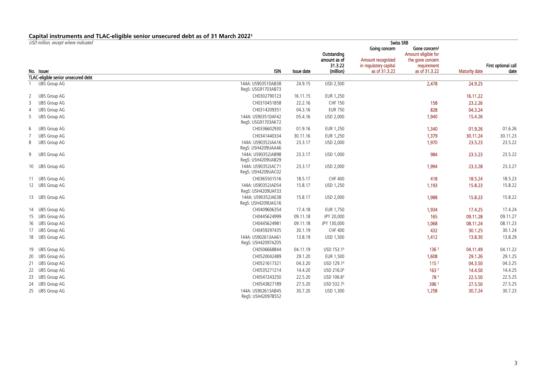## **Capital instruments and TLAC-eligible senior unsecured debt as of 31 March 20221**

| USD million, except where indicated |                                    | Swiss SRB            |                                        |                                        |                              |                      |                                            |  |
|-------------------------------------|------------------------------------|----------------------|----------------------------------------|----------------------------------------|------------------------------|----------------------|--------------------------------------------|--|
|                                     |                                    |                      |                                        | Going concern                          | Gone concern <sup>2</sup>    |                      |                                            |  |
|                                     |                                    |                      | Outstanding                            |                                        | Amount eligible for          |                      |                                            |  |
|                                     |                                    |                      | amount as of                           | Amount recognized                      | the gone concern             |                      |                                            |  |
| No. Issuer                          | <b>ISIN</b>                        | Issue date           | 31.3.22<br>(million)                   | in regulatory capital<br>as of 31.3.22 | requirement<br>as of 31.3.22 | <b>Maturity date</b> | First optional call<br>date                |  |
| TLAC-eligible senior unsecured debt |                                    |                      |                                        |                                        |                              |                      |                                            |  |
| <b>UBS Group AG</b>                 | 144A: US90351DAB38                 | 24.9.15              | <b>USD 2,500</b>                       |                                        | 2,478                        | 24.9.25              |                                            |  |
|                                     | RegS: USG91703AB73                 |                      |                                        |                                        |                              |                      |                                            |  |
| UBS Group AG                        | CH0302790123                       | 16.11.15             | EUR 1,250                              |                                        |                              | 16.11.22             |                                            |  |
| $\frac{1}{3}$<br>UBS Group AG       | CH0310451858                       | .<br>22.2.16         | <b>CHF 150</b>                         |                                        | 158                          | <br>23.2.26          |                                            |  |
| <b>UBS Group AG</b>                 | CH0314209351                       | 04.3.16              | <br><b>EUR 750</b>                     |                                        | .<br>828                     | .<br>04.3.24         |                                            |  |
| $\overline{5}$<br>UBS Group AG      | 144A: US90351DAF42                 | 05.4.16              | USD 2,000                              |                                        | <br>1,940                    | 15.4.26              |                                            |  |
|                                     | RegS: USG91703AK72                 |                      |                                        |                                        |                              |                      | .                                          |  |
| <b>UBS Group AG</b>                 | CH0336602930                       | 01.9.16              | EUR 1,250                              |                                        | 1.340                        | 01.9.26              | 01.6.26                                    |  |
| <b>UBS Group AG</b><br>7            | CH0341440334                       | 30.11.16             | EUR 1,250                              |                                        | 1,379                        | 30.11.24             | 30.11.23                                   |  |
| <b>UBS Group AG</b><br>8            | 144A: US90352JAA16                 | 23.3.17              | USD 2,000                              |                                        | 1,970                        | 23.5.23              | 23.5.22                                    |  |
|                                     | RegS: USH4209UAA46                 |                      |                                        |                                        |                              | .                    |                                            |  |
| <b>UBS Group AG</b><br>9            | 144A: US90352JAB98                 | 23.3.17              | USD 1.000                              |                                        | 984                          | 23.5.23              | 23.5.22                                    |  |
|                                     | RegS: USH4209UAB29                 |                      |                                        |                                        |                              | .                    | 23.3.27                                    |  |
| 10 UBS Group AG                     | 144A: US90352JAC71                 | 23.3.17              | USD 2,000                              |                                        | 1,994                        | 23.3.28              |                                            |  |
|                                     | RegS: USH4209UAC02<br>CH0365501516 | 18.5.17              | <b>CHF 400</b>                         |                                        | 418                          | 18.5.24              | 18.5.23                                    |  |
| 11 UBS Group AG<br>12 UBS Group AG  | 144A: US90352JAD54                 | $\frac{1}{15.8.17}$  | <u>USD 1,250</u>                       |                                        | $\frac{1}{1,193}$            | 15.8.23              | $-15.8.22$                                 |  |
|                                     | RegS: USH4209UAF33                 |                      |                                        |                                        |                              |                      |                                            |  |
| 13 UBS Group AG                     | 144A: US90352JAE38                 | $-15.8.17$           | USD 2,000                              |                                        | 1.988                        | 15.8.23              | 15.8.22                                    |  |
|                                     | ReqS: USH4209UAG16                 |                      |                                        |                                        |                              |                      |                                            |  |
| 14 UBS Group AG                     | CH0409606354                       | 17.4.18              | EUR 1,750                              |                                        | 1,934                        | 17.4.25              | 17.4.24                                    |  |
| 15 UBS Group AG                     | CH0445624999                       | $\frac{1}{09.11.18}$ | JPY 20,000                             |                                        | $\frac{1}{165}$              | $\frac{1}{09.11.28}$ | 09.11.27                                   |  |
| 16 UBS Group AG                     | CH0445624981                       | 09.11.18             | JPY 130,000                            |                                        | $\frac{1}{1,068}$            | $\frac{1}{08.11.24}$ | $\frac{1}{108.11.23}$                      |  |
| 17 UBS Group AG                     | CH0459297435                       | 30.1.19              | <b>CHF 400</b>                         |                                        | $\frac{1}{432}$              | 30.1.25              | 30.1.24                                    |  |
| 18 UBS Group AG                     | 144A: US902613AA61                 | 73.8.19              | USD 1,500                              |                                        | $\frac{1}{1,412}$            | 13.8.30              | $-13.8.29$                                 |  |
|                                     | RegS: USH42097AZ05                 |                      |                                        |                                        |                              |                      |                                            |  |
| 19 UBS Group AG                     | CH0506668844                       | 04.11.19             | USD 153.16                             |                                        | 1367                         | 04.11.49             | 04.11.22                                   |  |
| 20 UBS Group AG                     | CH0520042489                       | 29.1.20              | EUR 1,500                              |                                        | 1,608                        | 29.1.26              | <br>29.1.25                                |  |
| 21 UBS Group AG                     | CH0521617321                       | 04.3.20              | $\frac{1}{100}$ USD 129.1 <sup>6</sup> |                                        | 115 <sup>7</sup><br>         | 04.3.50<br>.         | $\begin{array}{c}\n 04.3.25\n \end{array}$ |  |
| 22 UBS Group AG                     | CH0535271214                       | 14.4.20              | USD 216.06                             |                                        | 163 <sup>7</sup><br>         | 14.4.50              | $-14.4.25$                                 |  |
| 23 UBS Group AG                     | CH0547243250                       | 22.5.20              | USD 106.66                             |                                        | 787<br>.                     | 22.5.50              | 22.5.25                                    |  |
| 24 UBS Group AG                     | CH0543827189                       | 27.5.20              | USD 532.76                             |                                        | 3967                         | 27.5.50              | 27.5.25                                    |  |
| 25 UBS Group AG                     | 144A: US902613AB45                 | 30.7.20              | USD 1.300                              |                                        | 1,258                        | 30.7.24              | 30.7.23                                    |  |
|                                     | RegS: USH42097BS52                 |                      |                                        |                                        |                              |                      |                                            |  |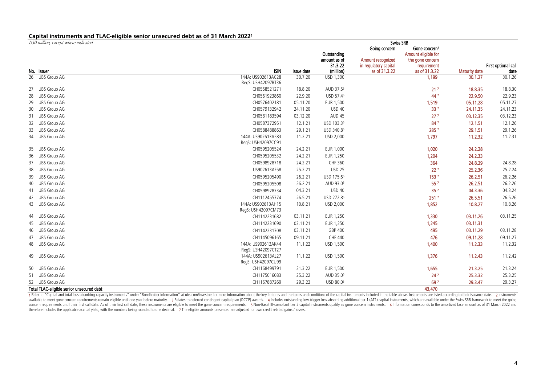## **Capital instruments and TLAC-eligible senior unsecured debt as of 31 March 20221**

| USD million, except where indicated       |                                          | Swiss SRB                |                        |                                        |                              |                           |                                    |  |  |  |
|-------------------------------------------|------------------------------------------|--------------------------|------------------------|----------------------------------------|------------------------------|---------------------------|------------------------------------|--|--|--|
|                                           |                                          |                          |                        | Going concern                          | Gone concern <sup>2</sup>    |                           |                                    |  |  |  |
|                                           |                                          |                          | Outstanding            |                                        | Amount eligible for          |                           |                                    |  |  |  |
|                                           |                                          |                          | amount as of           | Amount recognized                      | the gone concern             |                           |                                    |  |  |  |
| No. Issuer                                | <b>ISIN</b>                              | Issue date               | 31.3.22<br>(million)   | in regulatory capital<br>as of 31.3.22 | requirement<br>as of 31.3.22 | <b>Maturity date</b>      | <b>First optional call</b><br>date |  |  |  |
| 26 UBS Group AG                           | 144A: US902613AC28                       | 30.7.20                  | USD 1.300              |                                        | 1.199                        | 30.1.27                   | 30.1.26                            |  |  |  |
|                                           | RegS: USH42097BT36                       |                          |                        |                                        |                              |                           |                                    |  |  |  |
| 27 UBS Group AG                           | CH0558521271                             | 18.8.20                  | AUD 37.5 <sup>6</sup>  |                                        | 21 <sup>7</sup>              | 18.8.35                   | 18.8.30                            |  |  |  |
| 28 UBS Group AG                           | CH0561923860                             | 22.9.20                  | USD 57.46              |                                        | 447                          | 22.9.50                   | 22.9.23                            |  |  |  |
| 29 UBS Group AG                           | CH0576402181                             | 05.11.20                 | EUR 1,500              |                                        | 1,519                        | 05.11.28                  | 05.11.27                           |  |  |  |
| 30 UBS Group AG                           | CH0579132942                             | 24.11.20                 | <b>USD 40</b>          |                                        | 337<br>.                     | 24.11.35                  | 24.11.23                           |  |  |  |
| 31 UBS Group AG                           | CH0581183594                             | 03.12.20                 | AUD <sub>45</sub>      |                                        | 27 <sup>7</sup><br>.         | 03.12.35                  | 03.12.23                           |  |  |  |
| 32 UBS Group AG                           | CH0587372951                             | 12.1.21                  | USD 103.36             |                                        | 847<br>. <del>.</del>        | 12.1.51                   | 12.1.26                            |  |  |  |
| 33 UBS Group AG                           | CH0588488863                             | 29.1.21                  | USD 340.8 <sup>6</sup> |                                        | 2857                         | 29.1.51                   | 29.1.26                            |  |  |  |
| 34 UBS Group AG                           | 144A: US902613AE83<br>RegS: USH42097CC91 | 71.2.21                  | USD 2,000              |                                        | 1,797                        | 11.2.32                   | $\frac{111.2.31}{11.2.31}$         |  |  |  |
| 35 UBS Group AG                           | CH0595205524                             | 24.2.21                  | EUR 1.000              |                                        | 1.020                        | 24.2.28                   |                                    |  |  |  |
| 36 UBS Group AG                           | CH0595205532                             | 24.2.21                  | EUR 1,250              |                                        | 1,204                        | 24.2.33                   |                                    |  |  |  |
| 37 UBS Group AG                           | CH0598928718                             | 24.2.21                  | CHF 360                |                                        | 364<br>                      | 24.8.29                   | 24.8.28                            |  |  |  |
| 38 UBS Group AG                           | US902613AF58                             | 25.2.21                  | <b>USD 25</b>          |                                        | $\frac{227}{1537}$           | 25.2.36                   | 25.2.24                            |  |  |  |
| 39 UBS Group AG                           | CH0595205490                             | 26.2.21                  | USD 175.66             |                                        |                              | 26.2.51                   | 26.2.26                            |  |  |  |
| 40 UBS Group AG                           | CH0595205508                             | 26.2.21                  | AUD 93.0 <sup>6</sup>  |                                        | $55^7$                       | 26.2.51                   | 26.2.26                            |  |  |  |
| 41 UBS Group AG                           | CH0598928734                             | 04.3.21<br>.             | USD 40<br>.            |                                        | $\frac{1}{35}$<br>.          | 04.3.36<br>.              | 04.3.24<br>.                       |  |  |  |
| 42 UBS Group AG                           | CH1112455774                             | 26.5.21                  | USD 272.86             |                                        | 2517<br>.                    | 26.5.51                   | 26.5.26                            |  |  |  |
| 43 UBS Group AG                           | 144A: US902613AH15<br>RegS: USH42097CM73 | $-10.8.21$               | $\overline{$ USD 2,000 |                                        | 1.852                        | $-10.8.27$                | $-10.8.26$                         |  |  |  |
| <b>UBS Group AG</b>                       | CH1142231682                             | 03.11.21                 | EUR 1,250              |                                        | 1.330                        | 03.11.26                  | $-03.11.25$                        |  |  |  |
| 45 UBS Group AG                           | CH1142231690                             | 03.11.21                 | EUR 1,250              |                                        | 1.245                        | 03.11.31                  |                                    |  |  |  |
| 46 UBS Group AG                           | CH1142231708                             | $\frac{1}{03.11.21}$     | GBP 400                |                                        | . <del>.</del><br>495        | $-03.11.29$               | $\frac{1}{03.11.28}$               |  |  |  |
| 47 UBS Group AG                           | CH1145096165                             | 09.11.21                 | CHF 440                |                                        | .<br>476                     | 09.11.28                  | <br>09.11.27                       |  |  |  |
| 48 UBS Group AG                           | 144A: US902613AK44                       |                          | $\frac{1}{1500}$       |                                        | .<br>1.400                   | $\frac{1111111}{11.2.33}$ | --------------<br>11.2.32          |  |  |  |
|                                           | RegS: USH42097CT27                       |                          |                        |                                        |                              |                           |                                    |  |  |  |
| 49 UBS Group AG                           | 144A: US902613AL27<br>RegS: USH42097CU99 | $\frac{1111122}{111122}$ | USD 1,500              |                                        | 1.376                        | 11.2.43                   | $\frac{11.2.42}{11.2.42}$          |  |  |  |
| 50 UBS Group AG                           | CH1168499791                             | 21.3.22                  | EUR 1,500              |                                        | 1,655                        | 21.3.25                   | 21.3.24                            |  |  |  |
| 51 UBS Group AG                           | CH1175016083                             | 25.3.22                  | AUD 35.0 <sup>6</sup>  |                                        | 247                          | 25.3.32                   |                                    |  |  |  |
| 52 UBS Group AG                           | CH1167887269                             | 29.3.22                  | USD 80.0 <sup>6</sup>  |                                        | <br>697                      | 29.3.47                   | 29.3.27                            |  |  |  |
| Total TLAC-eligible senior unsecured debt |                                          |                          |                        |                                        | 43.470                       |                           |                                    |  |  |  |

1 Refer to "Capital and total loss-absorbing capacity instruments" under "Bondholder information" at ubs.com/investors for more information about the key features and the terms and conditions of the capital instruments inc concern requirements until their first call date. As of their first call date, these instruments are eligible to meet the gone concern requirements. 5 Non-Basel III-compliant tier 2 capital instruments qualify as gone conc therefore includes the applicable accrual yield, with the numbers being rounded to one decimal. 7 The eligible amounts presented are adjusted for own credit related gains / losses.